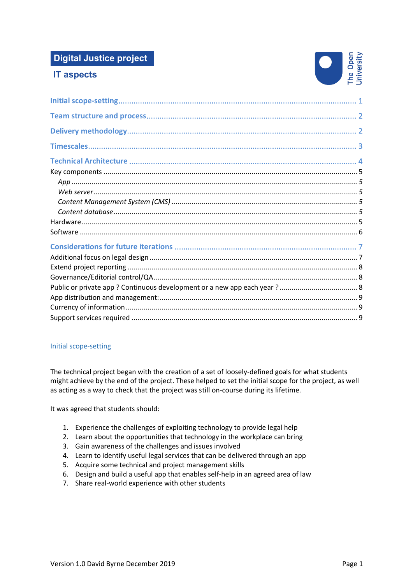# **Digital Justice project**

# **IT aspects**



# Initial scope-setting

The technical project began with the creation of a set of loosely-defined goals for what students might achieve by the end of the project. These helped to set the initial scope for the project, as well as acting as a way to check that the project was still on-course during its lifetime.

It was agreed that students should:

- 1. Experience the challenges of exploiting technology to provide legal help
- 2. Learn about the opportunities that technology in the workplace can bring
- 3. Gain awareness of the challenges and issues involved
- 4. Learn to identify useful legal services that can be delivered through an app
- 5. Acquire some technical and project management skills
- 6. Design and build a useful app that enables self-help in an agreed area of law
- 7. Share real-world experience with other students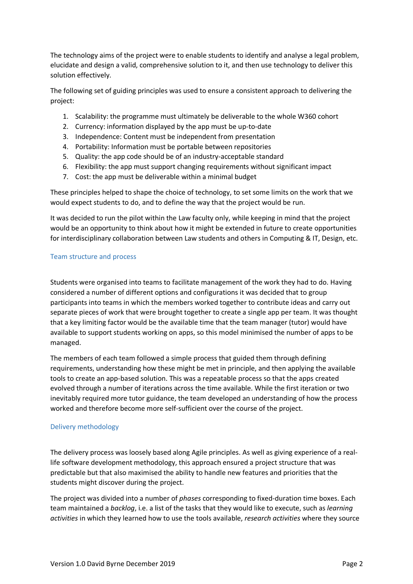The technology aims of the project were to enable students to identify and analyse a legal problem, elucidate and design a valid, comprehensive solution to it, and then use technology to deliver this solution effectively.

The following set of guiding principles was used to ensure a consistent approach to delivering the project:

- 1. Scalability: the programme must ultimately be deliverable to the whole W360 cohort
- 2. Currency: information displayed by the app must be up-to-date
- 3. Independence: Content must be independent from presentation
- 4. Portability: Information must be portable between repositories
- 5. Quality: the app code should be of an industry-acceptable standard
- 6. Flexibility: the app must support changing requirements without significant impact
- 7. Cost: the app must be deliverable within a minimal budget

These principles helped to shape the choice of technology, to set some limits on the work that we would expect students to do, and to define the way that the project would be run.

It was decided to run the pilot within the Law faculty only, while keeping in mind that the project would be an opportunity to think about how it might be extended in future to create opportunities for interdisciplinary collaboration between Law students and others in Computing & IT, Design, etc.

### Team structure and process

Students were organised into teams to facilitate management of the work they had to do. Having considered a number of different options and configurations it was decided that to group participants into teams in which the members worked together to contribute ideas and carry out separate pieces of work that were brought together to create a single app per team. It was thought that a key limiting factor would be the available time that the team manager (tutor) would have available to support students working on apps, so this model minimised the number of apps to be managed.

The members of each team followed a simple process that guided them through defining requirements, understanding how these might be met in principle, and then applying the available tools to create an app-based solution. This was a repeatable process so that the apps created evolved through a number of iterations across the time available. While the first iteration or two inevitably required more tutor guidance, the team developed an understanding of how the process worked and therefore become more self-sufficient over the course of the project.

### Delivery methodology

The delivery process was loosely based along Agile principles. As well as giving experience of a reallife software development methodology, this approach ensured a project structure that was predictable but that also maximised the ability to handle new features and priorities that the students might discover during the project.

The project was divided into a number of *phases* corresponding to fixed-duration time boxes. Each team maintained a *backlog*, i.e. a list of the tasks that they would like to execute, such as *learning activities* in which they learned how to use the tools available, *research activities* where they source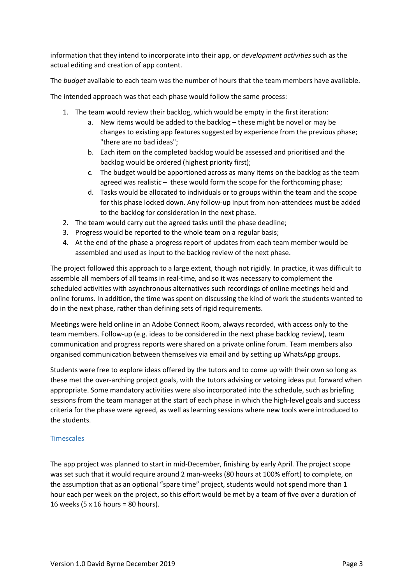information that they intend to incorporate into their app, or *development activities* such as the actual editing and creation of app content.

The *budget* available to each team was the number of hours that the team members have available.

The intended approach was that each phase would follow the same process:

- 1. The team would review their backlog, which would be empty in the first iteration:
	- a. New items would be added to the backlog these might be novel or may be changes to existing app features suggested by experience from the previous phase; "there are no bad ideas";
	- b. Each item on the completed backlog would be assessed and prioritised and the backlog would be ordered (highest priority first);
	- c. The budget would be apportioned across as many items on the backlog as the team agreed was realistic – these would form the scope for the forthcoming phase;
	- d. Tasks would be allocated to individuals or to groups within the team and the scope for this phase locked down. Any follow-up input from non-attendees must be added to the backlog for consideration in the next phase.
- 2. The team would carry out the agreed tasks until the phase deadline;
- 3. Progress would be reported to the whole team on a regular basis;
- 4. At the end of the phase a progress report of updates from each team member would be assembled and used as input to the backlog review of the next phase.

The project followed this approach to a large extent, though not rigidly. In practice, it was difficult to assemble all members of all teams in real-time, and so it was necessary to complement the scheduled activities with asynchronous alternatives such recordings of online meetings held and online forums. In addition, the time was spent on discussing the kind of work the students wanted to do in the next phase, rather than defining sets of rigid requirements.

Meetings were held online in an Adobe Connect Room, always recorded, with access only to the team members. Follow-up (e.g. ideas to be considered in the next phase backlog review), team communication and progress reports were shared on a private online forum. Team members also organised communication between themselves via email and by setting up WhatsApp groups.

Students were free to explore ideas offered by the tutors and to come up with their own so long as these met the over-arching project goals, with the tutors advising or vetoing ideas put forward when appropriate. Some mandatory activities were also incorporated into the schedule, such as briefing sessions from the team manager at the start of each phase in which the high-level goals and success criteria for the phase were agreed, as well as learning sessions where new tools were introduced to the students.

#### Timescales

The app project was planned to start in mid-December, finishing by early April. The project scope was set such that it would require around 2 man-weeks (80 hours at 100% effort) to complete, on the assumption that as an optional "spare time" project, students would not spend more than 1 hour each per week on the project, so this effort would be met by a team of five over a duration of 16 weeks (5 x 16 hours = 80 hours).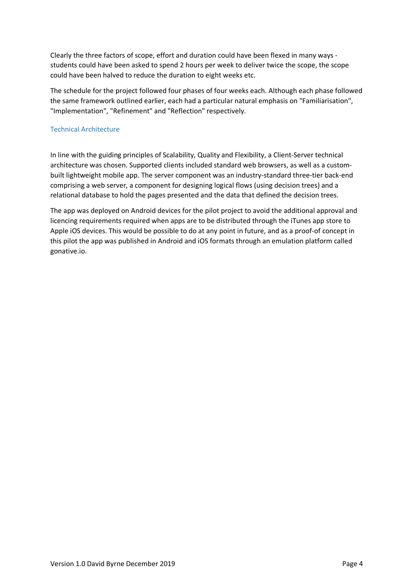Clearly the three factors of scope, effort and duration could have been flexed in many ways students could have been asked to spend 2 hours per week to deliver twice the scope, the scope could have been halved to reduce the duration to eight weeks etc.

The schedule for the project followed four phases of four weeks each. Although each phase followed the same framework outlined earlier, each had a particular natural emphasis on "Familiarisation", "Implementation", "Refinement" and "Reflection" respectively.

# Technical Architecture

In line with the guiding principles of Scalability, Quality and Flexibility, a Client-Server technical architecture was chosen. Supported clients included standard web browsers, as well as a custombuilt lightweight mobile app. The server component was an industry-standard three-tier back-end comprising a web server, a component for designing logical flows (using decision trees) and a relational database to hold the pages presented and the data that defined the decision trees.

The app was deployed on Android devices for the pilot project to avoid the additional approval and licencing requirements required when apps are to be distributed through the iTunes app store to Apple iOS devices. This would be possible to do at any point in future, and as a proof-of concept in this pilot the app was published in Android and iOS formats through an emulation platform called gonative.io.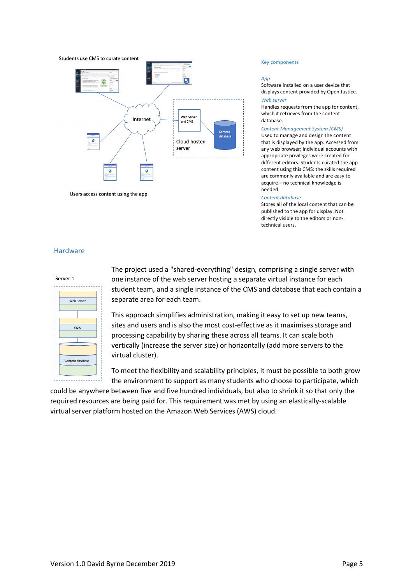

Users access content using the app

#### Key components

#### *App*

Software installed on a user device that displays content provided by Open Justice. *Web server*

Handles requests from the app for content, which it retrieves from the content database.

#### *Content Management System (CMS)*

Used to manage and design the content that is displayed by the app. Accessed from any web browser; individual accounts with appropriate privileges were created for different editors. Students curated the app content using this CMS: the skills required are commonly available and are easy to acquire – no technical knowledge is needed.

#### *Content database*

Stores all of the local content that can be published to the app for display. Not directly visible to the editors or nontechnical users.

#### Hardware

| Server 1                |  |  |
|-------------------------|--|--|
|                         |  |  |
|                         |  |  |
| <b>Web Server</b>       |  |  |
|                         |  |  |
|                         |  |  |
|                         |  |  |
| <b>CMS</b>              |  |  |
|                         |  |  |
|                         |  |  |
|                         |  |  |
|                         |  |  |
| <b>Content database</b> |  |  |
|                         |  |  |
|                         |  |  |

The project used a "shared-everything" design, comprising a single server with one instance of the web server hosting a separate virtual instance for each student team, and a single instance of the CMS and database that each contain a separate area for each team.

This approach simplifies administration, making it easy to set up new teams, sites and users and is also the most cost-effective as it maximises storage and processing capability by sharing these across all teams. It can scale both vertically (increase the server size) or horizontally (add more servers to the virtual cluster).

To meet the flexibility and scalability principles, it must be possible to both grow the environment to support as many students who choose to participate, which

could be anywhere between five and five hundred individuals, but also to shrink it so that only the required resources are being paid for. This requirement was met by using an elastically-scalable virtual server platform hosted on the Amazon Web Services (AWS) cloud.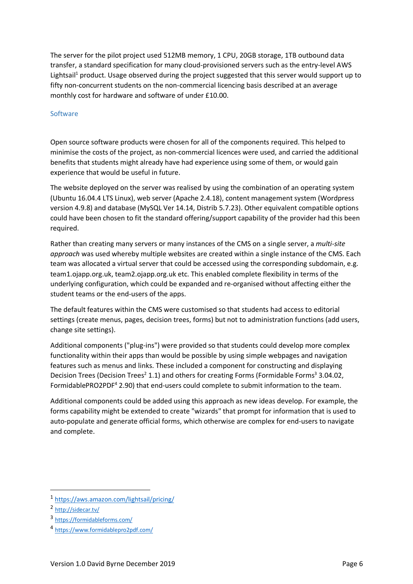The server for the pilot project used 512MB memory, 1 CPU, 20GB storage, 1TB outbound data transfer, a standard specification for many cloud-provisioned servers such as the entry-level AWS Lightsail<sup>1</sup> product. Usage observed during the project suggested that this server would support up to fifty non-concurrent students on the non-commercial licencing basis described at an average monthly cost for hardware and software of under £10.00.

#### **Software**

Open source software products were chosen for all of the components required. This helped to minimise the costs of the project, as non-commercial licences were used, and carried the additional benefits that students might already have had experience using some of them, or would gain experience that would be useful in future.

The website deployed on the server was realised by using the combination of an operating system (Ubuntu 16.04.4 LTS Linux), web server (Apache 2.4.18), content management system (Wordpress version 4.9.8) and database (MySQL Ver 14.14, Distrib 5.7.23). Other equivalent compatible options could have been chosen to fit the standard offering/support capability of the provider had this been required.

Rather than creating many servers or many instances of the CMS on a single server, a *multi-site approach* was used whereby multiple websites are created within a single instance of the CMS. Each team was allocated a virtual server that could be accessed using the corresponding subdomain, e.g. team1.ojapp.org.uk, team2.ojapp.org.uk etc. This enabled complete flexibility in terms of the underlying configuration, which could be expanded and re-organised without affecting either the student teams or the end-users of the apps.

The default features within the CMS were customised so that students had access to editorial settings (create menus, pages, decision trees, forms) but not to administration functions (add users, change site settings).

Additional components ("plug-ins") were provided so that students could develop more complex functionality within their apps than would be possible by using simple webpages and navigation features such as menus and links. These included a component for constructing and displaying Decision Trees (Decision Trees<sup>2</sup> 1.1) and others for creating Forms (Formidable Forms<sup>3</sup> 3.04.02, FormidablePRO2PDF<sup>4</sup> 2.90) that end-users could complete to submit information to the team.

Additional components could be added using this approach as new ideas develop. For example, the forms capability might be extended to create "wizards" that prompt for information that is used to auto-populate and generate official forms, which otherwise are complex for end-users to navigate and complete.

 <sup>1</sup> https://aws.amazon.com/lightsail/pricing/

<sup>2</sup> http://sidecar.tv/

<sup>3</sup> https://formidableforms.com/

<sup>4</sup> https://www.formidablepro2pdf.com/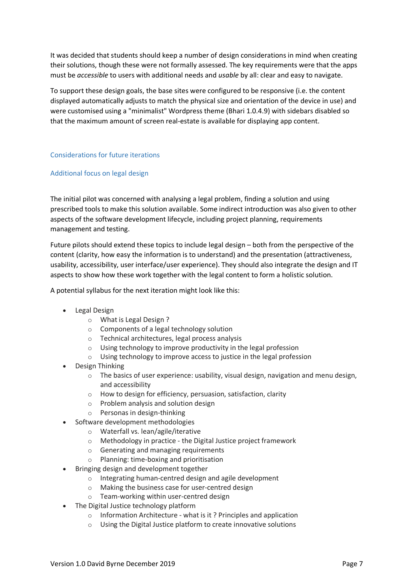It was decided that students should keep a number of design considerations in mind when creating their solutions, though these were not formally assessed. The key requirements were that the apps must be *accessible* to users with additional needs and *usable* by all: clear and easy to navigate.

To support these design goals, the base sites were configured to be responsive (i.e. the content displayed automatically adjusts to match the physical size and orientation of the device in use) and were customised using a "minimalist" Wordpress theme (Bhari 1.0.4.9) with sidebars disabled so that the maximum amount of screen real-estate is available for displaying app content.

### Considerations for future iterations

### Additional focus on legal design

The initial pilot was concerned with analysing a legal problem, finding a solution and using prescribed tools to make this solution available. Some indirect introduction was also given to other aspects of the software development lifecycle, including project planning, requirements management and testing.

Future pilots should extend these topics to include legal design – both from the perspective of the content (clarity, how easy the information is to understand) and the presentation (attractiveness, usability, accessibility, user interface/user experience). They should also integrate the design and IT aspects to show how these work together with the legal content to form a holistic solution.

A potential syllabus for the next iteration might look like this:

- Legal Design
	- o What is Legal Design ?
	- o Components of a legal technology solution
	- o Technical architectures, legal process analysis
	- o Using technology to improve productivity in the legal profession
	- o Using technology to improve access to justice in the legal profession
- Design Thinking
	- $\circ$  The basics of user experience: usability, visual design, navigation and menu design, and accessibility
	- o How to design for efficiency, persuasion, satisfaction, clarity
	- o Problem analysis and solution design
	- o Personas in design-thinking
	- Software development methodologies
		- o Waterfall vs. lean/agile/iterative
		- o Methodology in practice the Digital Justice project framework
		- o Generating and managing requirements
		- o Planning: time-boxing and prioritisation
- Bringing design and development together
	- o Integrating human-centred design and agile development
	- o Making the business case for user-centred design
	- o Team-working within user-centred design
- The Digital Justice technology platform
	- o Information Architecture what is it ? Principles and application
	- o Using the Digital Justice platform to create innovative solutions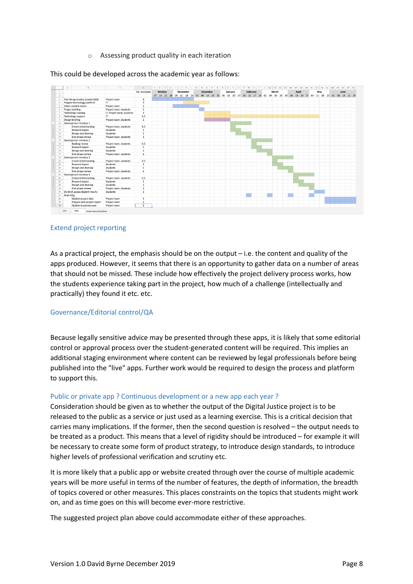#### o Assessing product quality in each iteration

This could be developed across the academic year as follows:



#### Extend project reporting

As a practical project, the emphasis should be on the output – i.e. the content and quality of the apps produced. However, it seems that there is an opportunity to gather data on a number of areas that should not be missed. These include how effectively the project delivery process works, how the students experience taking part in the project, how much of a challenge (intellectually and practically) they found it etc. etc.

### Governance/Editorial control/QA

Because legally sensitive advice may be presented through these apps, it is likely that some editorial control or approval process over the student-generated content will be required. This implies an additional staging environment where content can be reviewed by legal professionals before being published into the "live" apps. Further work would be required to design the process and platform to support this.

#### Public or private app ? Continuous development or a new app each year ?

Consideration should be given as to whether the output of the Digital Justice project is to be released to the public as a service or just used as a learning exercise. This is a critical decision that carries many implications. If the former, then the second question is resolved – the output needs to be treated as a product. This means that a level of rigidity should be introduced – for example it will be necessary to create some form of product strategy, to introduce design standards, to introduce higher levels of professional verification and scrutiny etc.

It is more likely that a public app or website created through over the course of multiple academic years will be more useful in terms of the number of features, the depth of information, the breadth of topics covered or other measures. This places constraints on the topics that students might work on, and as time goes on this will become ever-more restrictive.

The suggested project plan above could accommodate either of these approaches.